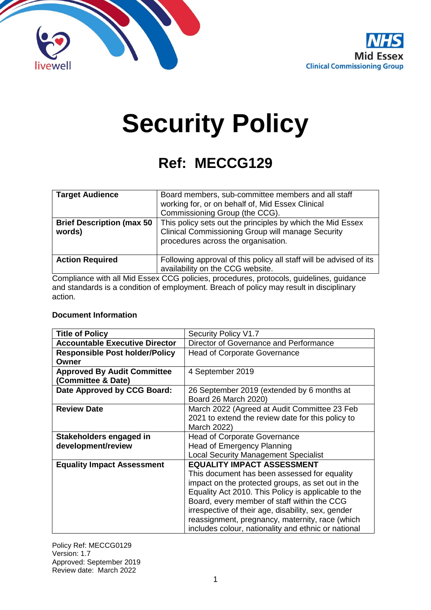



# **Security Policy**

## **Ref: MECCG129**

| <b>Target Audience</b>                      | Board members, sub-committee members and all staff<br>working for, or on behalf of, Mid Essex Clinical<br>Commissioning Group (the CCG).                      |
|---------------------------------------------|---------------------------------------------------------------------------------------------------------------------------------------------------------------|
| <b>Brief Description (max 50)</b><br>words) | This policy sets out the principles by which the Mid Essex<br><b>Clinical Commissioning Group will manage Security</b><br>procedures across the organisation. |
| <b>Action Required</b>                      | Following approval of this policy all staff will be advised of its<br>availability on the CCG website.                                                        |

Compliance with all Mid Essex CCG policies, procedures, protocols, guidelines, guidance and standards is a condition of employment. Breach of policy may result in disciplinary action.

#### **Document Information**

| <b>Title of Policy</b>                | Security Policy V1.7                                |
|---------------------------------------|-----------------------------------------------------|
| <b>Accountable Executive Director</b> | Director of Governance and Performance              |
| <b>Responsible Post holder/Policy</b> | <b>Head of Corporate Governance</b>                 |
| Owner                                 |                                                     |
| <b>Approved By Audit Committee</b>    | 4 September 2019                                    |
| (Committee & Date)                    |                                                     |
| Date Approved by CCG Board:           | 26 September 2019 (extended by 6 months at          |
|                                       | Board 26 March 2020)                                |
| <b>Review Date</b>                    | March 2022 (Agreed at Audit Committee 23 Feb        |
|                                       | 2021 to extend the review date for this policy to   |
|                                       | March 2022)                                         |
| Stakeholders engaged in               | <b>Head of Corporate Governance</b>                 |
| development/review                    | Head of Emergency Planning                          |
|                                       | <b>Local Security Management Specialist</b>         |
| <b>Equality Impact Assessment</b>     | <b>EQUALITY IMPACT ASSESSMENT</b>                   |
|                                       | This document has been assessed for equality        |
|                                       | impact on the protected groups, as set out in the   |
|                                       | Equality Act 2010. This Policy is applicable to the |
|                                       | Board, every member of staff within the CCG         |
|                                       | irrespective of their age, disability, sex, gender  |
|                                       | reassignment, pregnancy, maternity, race (which     |
|                                       | includes colour, nationality and ethnic or national |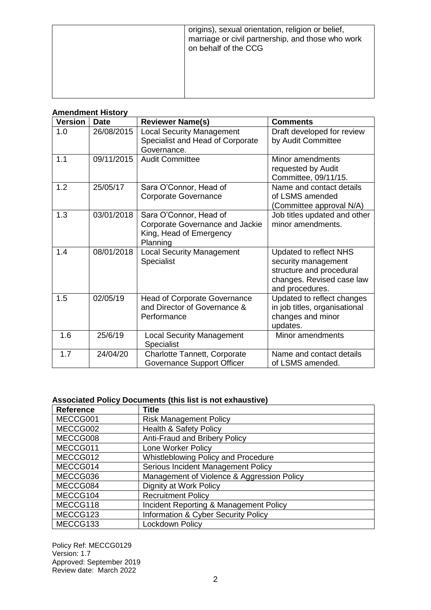| origins), sexual orientation, religion or belief,<br>marriage or civil partnership, and those who work<br>on behalf of the CCG |
|--------------------------------------------------------------------------------------------------------------------------------|
|                                                                                                                                |

|  | <b>Amendment History</b> |  |  |
|--|--------------------------|--|--|
|  |                          |  |  |

| <b>Version</b> | <b>Date</b> | <b>Reviewer Name(s)</b>                                                                                 | <b>Comments</b>                                                                                                           |
|----------------|-------------|---------------------------------------------------------------------------------------------------------|---------------------------------------------------------------------------------------------------------------------------|
| 1.0            | 26/08/2015  | <b>Local Security Management</b><br>Specialist and Head of Corporate<br>Governance.                     | Draft developed for review<br>by Audit Committee                                                                          |
| 1.1            | 09/11/2015  | <b>Audit Committee</b>                                                                                  | Minor amendments<br>requested by Audit<br>Committee, 09/11/15.                                                            |
| 1.2            | 25/05/17    | Sara O'Connor, Head of<br><b>Corporate Governance</b>                                                   | Name and contact details<br>of LSMS amended<br>(Committee approval N/A)                                                   |
| 1.3            | 03/01/2018  | Sara O'Connor, Head of<br><b>Corporate Governance and Jackie</b><br>King, Head of Emergency<br>Planning | Job titles updated and other<br>minor amendments.                                                                         |
| 1.4            | 08/01/2018  | <b>Local Security Management</b><br>Specialist                                                          | Updated to reflect NHS<br>security management<br>structure and procedural<br>changes. Revised case law<br>and procedures. |
| 1.5            | 02/05/19    | <b>Head of Corporate Governance</b><br>and Director of Governance &<br>Performance                      | Updated to reflect changes<br>in job titles, organisational<br>changes and minor<br>updates.                              |
| 1.6            | 25/6/19     | <b>Local Security Management</b><br>Specialist                                                          | Minor amendments                                                                                                          |
| 1.7            | 24/04/20    | <b>Charlotte Tannett, Corporate</b><br>Governance Support Officer                                       | Name and contact details<br>of LSMS amended.                                                                              |

#### **Associated Policy Documents (this list is not exhaustive)**

| <b>Reference</b> | <b>Title</b>                               |
|------------------|--------------------------------------------|
| MECCG001         | <b>Risk Management Policy</b>              |
| MECCG002         | <b>Health &amp; Safety Policy</b>          |
| MECCG008         | Anti-Fraud and Bribery Policy              |
| MECCG011         | Lone Worker Policy                         |
| MECCG012         | Whistleblowing Policy and Procedure        |
| MECCG014         | Serious Incident Management Policy         |
| MECCG036         | Management of Violence & Aggression Policy |
| MECCG084         | Dignity at Work Policy                     |
| MECCG104         | <b>Recruitment Policy</b>                  |
| MECCG118         | Incident Reporting & Management Policy     |
| MECCG123         | Information & Cyber Security Policy        |
| MECCG133         | Lockdown Policy                            |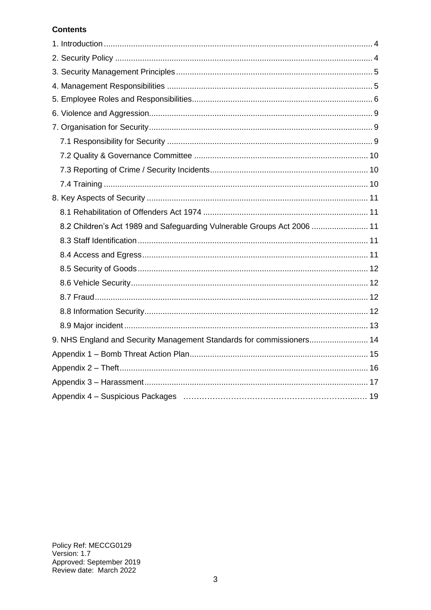#### **Contents**

| 8.2 Children's Act 1989 and Safeguarding Vulnerable Groups Act 2006  11 |  |
|-------------------------------------------------------------------------|--|
|                                                                         |  |
|                                                                         |  |
|                                                                         |  |
|                                                                         |  |
|                                                                         |  |
|                                                                         |  |
|                                                                         |  |
| 9. NHS England and Security Management Standards for commissioners 14   |  |
|                                                                         |  |
|                                                                         |  |
|                                                                         |  |
|                                                                         |  |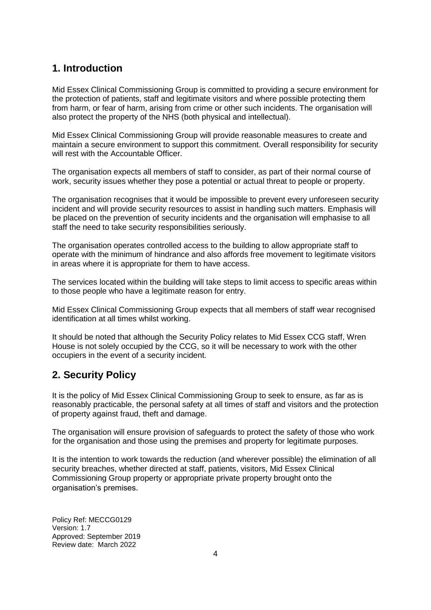## <span id="page-3-0"></span>**1. Introduction**

Mid Essex Clinical Commissioning Group is committed to providing a secure environment for the protection of patients, staff and legitimate visitors and where possible protecting them from harm, or fear of harm, arising from crime or other such incidents. The organisation will also protect the property of the NHS (both physical and intellectual).

Mid Essex Clinical Commissioning Group will provide reasonable measures to create and maintain a secure environment to support this commitment. Overall responsibility for security will rest with the Accountable Officer.

The organisation expects all members of staff to consider, as part of their normal course of work, security issues whether they pose a potential or actual threat to people or property.

The organisation recognises that it would be impossible to prevent every unforeseen security incident and will provide security resources to assist in handling such matters. Emphasis will be placed on the prevention of security incidents and the organisation will emphasise to all staff the need to take security responsibilities seriously.

The organisation operates controlled access to the building to allow appropriate staff to operate with the minimum of hindrance and also affords free movement to legitimate visitors in areas where it is appropriate for them to have access.

The services located within the building will take steps to limit access to specific areas within to those people who have a legitimate reason for entry.

Mid Essex Clinical Commissioning Group expects that all members of staff wear recognised identification at all times whilst working.

It should be noted that although the Security Policy relates to Mid Essex CCG staff, Wren House is not solely occupied by the CCG, so it will be necessary to work with the other occupiers in the event of a security incident.

## <span id="page-3-1"></span>**2. Security Policy**

It is the policy of Mid Essex Clinical Commissioning Group to seek to ensure, as far as is reasonably practicable, the personal safety at all times of staff and visitors and the protection of property against fraud, theft and damage.

The organisation will ensure provision of safeguards to protect the safety of those who work for the organisation and those using the premises and property for legitimate purposes.

It is the intention to work towards the reduction (and wherever possible) the elimination of all security breaches, whether directed at staff, patients, visitors, Mid Essex Clinical Commissioning Group property or appropriate private property brought onto the organisation's premises.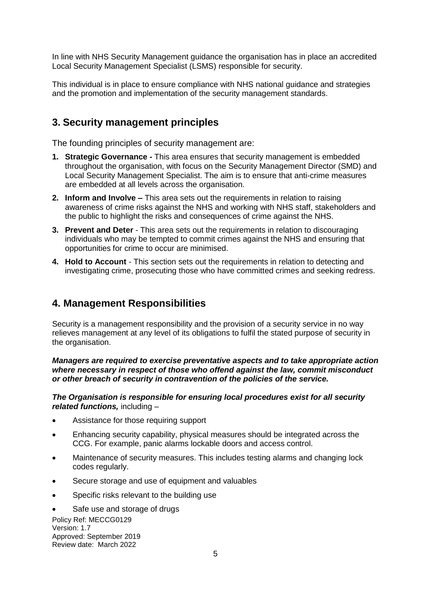In line with NHS Security Management guidance the organisation has in place an accredited Local Security Management Specialist (LSMS) responsible for security.

<span id="page-4-0"></span>This individual is in place to ensure compliance with NHS national guidance and strategies and the promotion and implementation of the security management standards.

### **3. Security management principles**

The founding principles of security management are:

- **1. Strategic Governance -** This area ensures that security management is embedded throughout the organisation, with focus on the Security Management Director (SMD) and Local Security Management Specialist. The aim is to ensure that anti-crime measures are embedded at all levels across the organisation.
- **2. Inform and Involve –** This area sets out the requirements in relation to raising awareness of crime risks against the NHS and working with NHS staff, stakeholders and the public to highlight the risks and consequences of crime against the NHS.
- **3. Prevent and Deter** This area sets out the requirements in relation to discouraging individuals who may be tempted to commit crimes against the NHS and ensuring that opportunities for crime to occur are minimised.
- **4. Hold to Account** This section sets out the requirements in relation to detecting and investigating crime, prosecuting those who have committed crimes and seeking redress.

#### <span id="page-4-1"></span>**4. Management Responsibilities**

Security is a management responsibility and the provision of a security service in no way relieves management at any level of its obligations to fulfil the stated purpose of security in the organisation.

*Managers are required to exercise preventative aspects and to take appropriate action where necessary in respect of those who offend against the law, commit misconduct or other breach of security in contravention of the policies of the service.* 

*The Organisation is responsible for ensuring local procedures exist for all security related functions,* including –

- Assistance for those requiring support
- Enhancing security capability, physical measures should be integrated across the CCG. For example, panic alarms lockable doors and access control.
- Maintenance of security measures. This includes testing alarms and changing lock codes regularly.
- Secure storage and use of equipment and valuables
- Specific risks relevant to the building use

Policy Ref: MECCG0129 Version: 1.7 Approved: September 2019 Review date: March 2022 Safe use and storage of drugs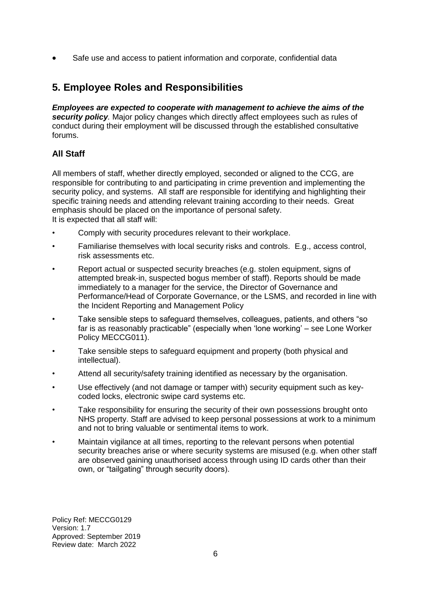Safe use and access to patient information and corporate, confidential data

## <span id="page-5-0"></span>**5. Employee Roles and Responsibilities**

*Employees are expected to cooperate with management to achieve the aims of the security policy.* Major policy changes which directly affect employees such as rules of conduct during their employment will be discussed through the established consultative forums.

#### **All Staff**

All members of staff, whether directly employed, seconded or aligned to the CCG, are responsible for contributing to and participating in crime prevention and implementing the security policy, and systems. All staff are responsible for identifying and highlighting their specific training needs and attending relevant training according to their needs. Great emphasis should be placed on the importance of personal safety. It is expected that all staff will:

- Comply with security procedures relevant to their workplace.
- Familiarise themselves with local security risks and controls. E.g., access control, risk assessments etc.
- Report actual or suspected security breaches (e.g. stolen equipment, signs of attempted break-in, suspected bogus member of staff). Reports should be made immediately to a manager for the service, the Director of Governance and Performance/Head of Corporate Governance, or the LSMS, and recorded in line with the Incident Reporting and Management Policy
- Take sensible steps to safeguard themselves, colleagues, patients, and others "so far is as reasonably practicable" (especially when 'lone working' – see Lone Worker Policy MECCG011).
- Take sensible steps to safeguard equipment and property (both physical and intellectual).
- Attend all security/safety training identified as necessary by the organisation.
- Use effectively (and not damage or tamper with) security equipment such as keycoded locks, electronic swipe card systems etc.
- Take responsibility for ensuring the security of their own possessions brought onto NHS property. Staff are advised to keep personal possessions at work to a minimum and not to bring valuable or sentimental items to work.
- Maintain vigilance at all times, reporting to the relevant persons when potential security breaches arise or where security systems are misused (e.g. when other staff are observed gaining unauthorised access through using ID cards other than their own, or "tailgating" through security doors).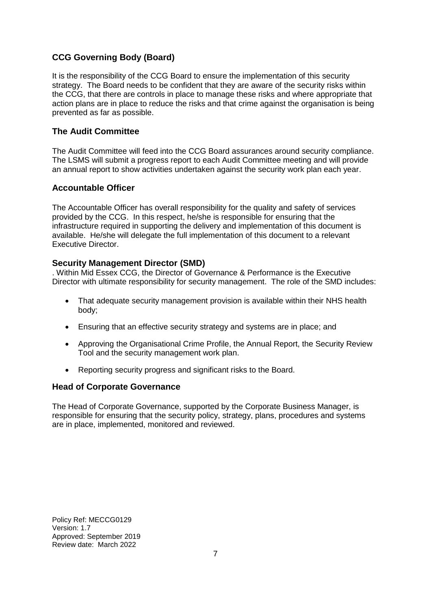#### **CCG Governing Body (Board)**

It is the responsibility of the CCG Board to ensure the implementation of this security strategy. The Board needs to be confident that they are aware of the security risks within the CCG, that there are controls in place to manage these risks and where appropriate that action plans are in place to reduce the risks and that crime against the organisation is being prevented as far as possible.

#### **The Audit Committee**

The Audit Committee will feed into the CCG Board assurances around security compliance. The LSMS will submit a progress report to each Audit Committee meeting and will provide an annual report to show activities undertaken against the security work plan each year.

#### **Accountable Officer**

The Accountable Officer has overall responsibility for the quality and safety of services provided by the CCG. In this respect, he/she is responsible for ensuring that the infrastructure required in supporting the delivery and implementation of this document is available. He/she will delegate the full implementation of this document to a relevant Executive Director.

#### **Security Management Director (SMD)**

. Within Mid Essex CCG, the Director of Governance & Performance is the Executive Director with ultimate responsibility for security management. The role of the SMD includes:

- That adequate security management provision is available within their NHS health body;
- Ensuring that an effective security strategy and systems are in place; and
- Approving the Organisational Crime Profile, the Annual Report, the Security Review Tool and the security management work plan.
- Reporting security progress and significant risks to the Board.

#### **Head of Corporate Governance**

The Head of Corporate Governance, supported by the Corporate Business Manager, is responsible for ensuring that the security policy, strategy, plans, procedures and systems are in place, implemented, monitored and reviewed.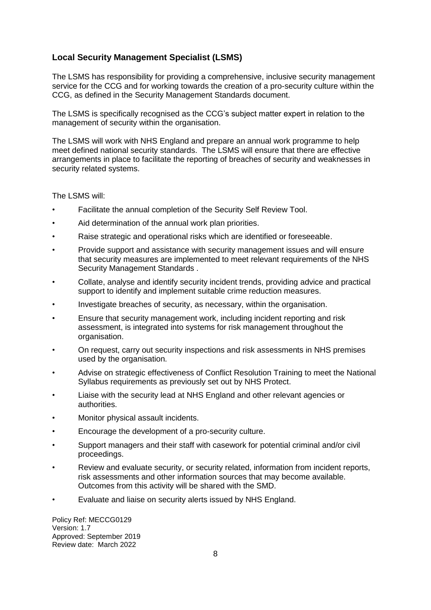#### **Local Security Management Specialist (LSMS)**

The LSMS has responsibility for providing a comprehensive, inclusive security management service for the CCG and for working towards the creation of a pro-security culture within the CCG, as defined in the Security Management Standards document.

The LSMS is specifically recognised as the CCG's subject matter expert in relation to the management of security within the organisation.

The LSMS will work with NHS England and prepare an annual work programme to help meet defined national security standards. The LSMS will ensure that there are effective arrangements in place to facilitate the reporting of breaches of security and weaknesses in security related systems.

The LSMS will:

- Facilitate the annual completion of the Security Self Review Tool.
- Aid determination of the annual work plan priorities.
- Raise strategic and operational risks which are identified or foreseeable.
- Provide support and assistance with security management issues and will ensure that security measures are implemented to meet relevant requirements of the NHS Security Management Standards .
- Collate, analyse and identify security incident trends, providing advice and practical support to identify and implement suitable crime reduction measures.
- Investigate breaches of security, as necessary, within the organisation.
- Ensure that security management work, including incident reporting and risk assessment, is integrated into systems for risk management throughout the organisation.
- On request, carry out security inspections and risk assessments in NHS premises used by the organisation.
- Advise on strategic effectiveness of Conflict Resolution Training to meet the National Syllabus requirements as previously set out by NHS Protect.
- Liaise with the security lead at NHS England and other relevant agencies or authorities.
- Monitor physical assault incidents.
- Encourage the development of a pro-security culture.
- Support managers and their staff with casework for potential criminal and/or civil proceedings.
- Review and evaluate security, or security related, information from incident reports, risk assessments and other information sources that may become available. Outcomes from this activity will be shared with the SMD.
- Evaluate and liaise on security alerts issued by NHS England.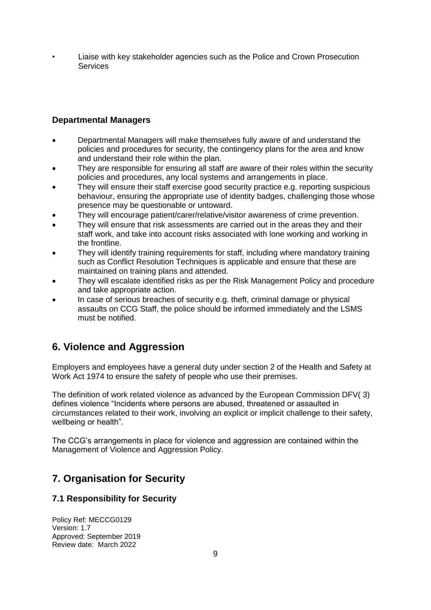• Liaise with key stakeholder agencies such as the Police and Crown Prosecution **Services** 

#### **Departmental Managers**

- Departmental Managers will make themselves fully aware of and understand the policies and procedures for security, the contingency plans for the area and know and understand their role within the plan.
- They are responsible for ensuring all staff are aware of their roles within the security policies and procedures, any local systems and arrangements in place.
- They will ensure their staff exercise good security practice e.g. reporting suspicious behaviour, ensuring the appropriate use of identity badges, challenging those whose presence may be questionable or untoward.
- They will encourage patient/carer/relative/visitor awareness of crime prevention.
- They will ensure that risk assessments are carried out in the areas they and their staff work, and take into account risks associated with lone working and working in the frontline.
- They will identify training requirements for staff, including where mandatory training such as Conflict Resolution Techniques is applicable and ensure that these are maintained on training plans and attended.
- They will escalate identified risks as per the Risk Management Policy and procedure and take appropriate action.
- In case of serious breaches of security e.g. theft, criminal damage or physical assaults on CCG Staff, the police should be informed immediately and the LSMS must be notified.

## <span id="page-8-0"></span>**6. Violence and Aggression**

Employers and employees have a general duty under section 2 of the Health and Safety at Work Act 1974 to ensure the safety of people who use their premises.

The definition of work related violence as advanced by the European Commission DFV( 3) defines violence "Incidents where persons are abused, threatened or assaulted in circumstances related to their work, involving an explicit or implicit challenge to their safety, wellbeing or health".

The CCG's arrangements in place for violence and aggression are contained within the Management of Violence and Aggression Policy.

## <span id="page-8-1"></span>**7. Organisation for Security**

#### <span id="page-8-2"></span>**7.1 Responsibility for Security**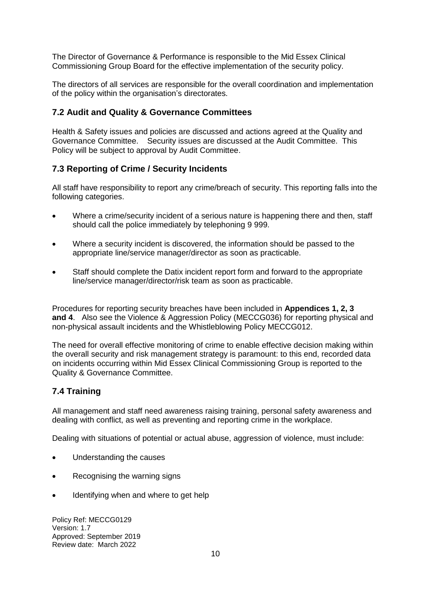The Director of Governance & Performance is responsible to the Mid Essex Clinical Commissioning Group Board for the effective implementation of the security policy.

The directors of all services are responsible for the overall coordination and implementation of the policy within the organisation's directorates.

#### <span id="page-9-0"></span>**7.2 Audit and Quality & Governance Committees**

Health & Safety issues and policies are discussed and actions agreed at the Quality and Governance Committee. Security issues are discussed at the Audit Committee. This Policy will be subject to approval by Audit Committee.

#### <span id="page-9-1"></span>**7.3 Reporting of Crime / Security Incidents**

All staff have responsibility to report any crime/breach of security. This reporting falls into the following categories.

- Where a crime/security incident of a serious nature is happening there and then, staff should call the police immediately by telephoning 9 999.
- Where a security incident is discovered, the information should be passed to the appropriate line/service manager/director as soon as practicable.
- Staff should complete the Datix incident report form and forward to the appropriate line/service manager/director/risk team as soon as practicable.

Procedures for reporting security breaches have been included in **Appendices 1, 2, 3 and 4**. Also see the Violence & Aggression Policy (MECCG036) for reporting physical and non-physical assault incidents and the Whistleblowing Policy MECCG012.

The need for overall effective monitoring of crime to enable effective decision making within the overall security and risk management strategy is paramount: to this end, recorded data on incidents occurring within Mid Essex Clinical Commissioning Group is reported to the Quality & Governance Committee.

#### <span id="page-9-2"></span>**7.4 Training**

All management and staff need awareness raising training, personal safety awareness and dealing with conflict, as well as preventing and reporting crime in the workplace.

Dealing with situations of potential or actual abuse, aggression of violence, must include:

- Understanding the causes
- Recognising the warning signs
- Identifying when and where to get help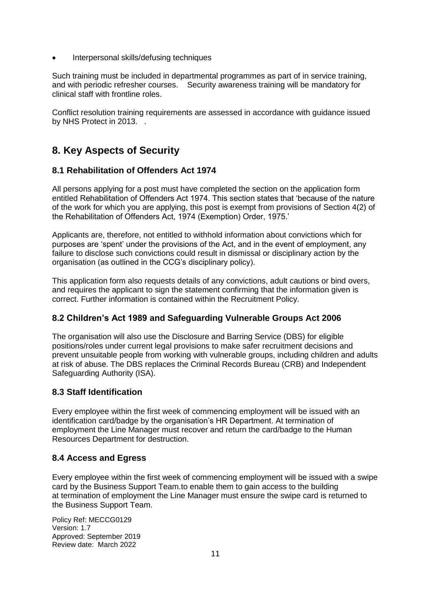• Interpersonal skills/defusing techniques

Such training must be included in departmental programmes as part of in service training, and with periodic refresher courses. Security awareness training will be mandatory for clinical staff with frontline roles.

Conflict resolution training requirements are assessed in accordance with guidance issued by NHS Protect in 2013.

## <span id="page-10-0"></span>**8. Key Aspects of Security**

#### <span id="page-10-1"></span>**8.1 Rehabilitation of Offenders Act 1974**

All persons applying for a post must have completed the section on the application form entitled Rehabilitation of Offenders Act 1974. This section states that 'because of the nature of the work for which you are applying, this post is exempt from provisions of Section 4(2) of the Rehabilitation of Offenders Act, 1974 (Exemption) Order, 1975.'

Applicants are, therefore, not entitled to withhold information about convictions which for purposes are 'spent' under the provisions of the Act, and in the event of employment, any failure to disclose such convictions could result in dismissal or disciplinary action by the organisation (as outlined in the CCG's disciplinary policy).

This application form also requests details of any convictions, adult cautions or bind overs, and requires the applicant to sign the statement confirming that the information given is correct. Further information is contained within the Recruitment Policy.

#### <span id="page-10-2"></span>**8.2 Children's Act 1989 and Safeguarding Vulnerable Groups Act 2006**

The organisation will also use the Disclosure and Barring Service (DBS) for eligible positions/roles under current legal provisions to make safer recruitment decisions and prevent unsuitable people from working with vulnerable groups, including children and adults at risk of abuse. The DBS replaces the Criminal Records Bureau (CRB) and Independent Safeguarding Authority (ISA).

#### <span id="page-10-3"></span>**8.3 Staff Identification**

Every employee within the first week of commencing employment will be issued with an identification card/badge by the organisation's HR Department. At termination of employment the Line Manager must recover and return the card/badge to the Human Resources Department for destruction.

#### <span id="page-10-4"></span>**8.4 Access and Egress**

Every employee within the first week of commencing employment will be issued with a swipe card by the Business Support Team.to enable them to gain access to the building at termination of employment the Line Manager must ensure the swipe card is returned to the Business Support Team.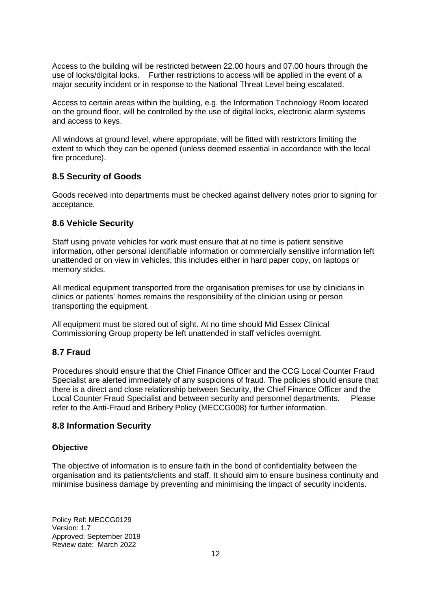Access to the building will be restricted between 22.00 hours and 07.00 hours through the use of locks/digital locks. Further restrictions to access will be applied in the event of a major security incident or in response to the National Threat Level being escalated.

Access to certain areas within the building, e.g. the Information Technology Room located on the ground floor, will be controlled by the use of digital locks, electronic alarm systems and access to keys.

All windows at ground level, where appropriate, will be fitted with restrictors limiting the extent to which they can be opened (unless deemed essential in accordance with the local fire procedure).

#### <span id="page-11-0"></span>**8.5 Security of Goods**

Goods received into departments must be checked against delivery notes prior to signing for acceptance.

#### <span id="page-11-1"></span>**8.6 Vehicle Security**

Staff using private vehicles for work must ensure that at no time is patient sensitive information, other personal identifiable information or commercially sensitive information left unattended or on view in vehicles, this includes either in hard paper copy, on laptops or memory sticks.

All medical equipment transported from the organisation premises for use by clinicians in clinics or patients' homes remains the responsibility of the clinician using or person transporting the equipment.

All equipment must be stored out of sight. At no time should Mid Essex Clinical Commissioning Group property be left unattended in staff vehicles overnight.

#### <span id="page-11-2"></span>**8.7 Fraud**

Procedures should ensure that the Chief Finance Officer and the CCG Local Counter Fraud Specialist are alerted immediately of any suspicions of fraud. The policies should ensure that there is a direct and close relationship between Security, the Chief Finance Officer and the Local Counter Fraud Specialist and between security and personnel departments. Please refer to the Anti-Fraud and Bribery Policy (MECCG008) for further information.

#### <span id="page-11-3"></span>**8.8 Information Security**

#### **Objective**

The objective of information is to ensure faith in the bond of confidentiality between the organisation and its patients/clients and staff. It should aim to ensure business continuity and minimise business damage by preventing and minimising the impact of security incidents.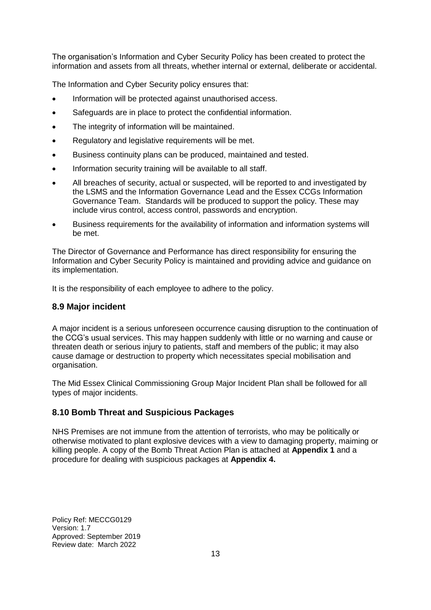The organisation's Information and Cyber Security Policy has been created to protect the information and assets from all threats, whether internal or external, deliberate or accidental.

The Information and Cyber Security policy ensures that:

- Information will be protected against unauthorised access.
- Safeguards are in place to protect the confidential information.
- The integrity of information will be maintained.
- Regulatory and legislative requirements will be met.
- Business continuity plans can be produced, maintained and tested.
- Information security training will be available to all staff.
- All breaches of security, actual or suspected, will be reported to and investigated by the LSMS and the Information Governance Lead and the Essex CCGs Information Governance Team. Standards will be produced to support the policy. These may include virus control, access control, passwords and encryption.
- Business requirements for the availability of information and information systems will be met.

The Director of Governance and Performance has direct responsibility for ensuring the Information and Cyber Security Policy is maintained and providing advice and guidance on its implementation.

<span id="page-12-0"></span>It is the responsibility of each employee to adhere to the policy.

#### **8.9 Major incident**

A major incident is a serious unforeseen occurrence causing disruption to the continuation of the CCG's usual services. This may happen suddenly with little or no warning and cause or threaten death or serious injury to patients, staff and members of the public; it may also cause damage or destruction to property which necessitates special mobilisation and organisation.

The Mid Essex Clinical Commissioning Group Major Incident Plan shall be followed for all types of major incidents.

#### **8.10 Bomb Threat and Suspicious Packages**

NHS Premises are not immune from the attention of terrorists, who may be politically or otherwise motivated to plant explosive devices with a view to damaging property, maiming or killing people. A copy of the Bomb Threat Action Plan is attached at **Appendix 1** and a procedure for dealing with suspicious packages at **Appendix 4.**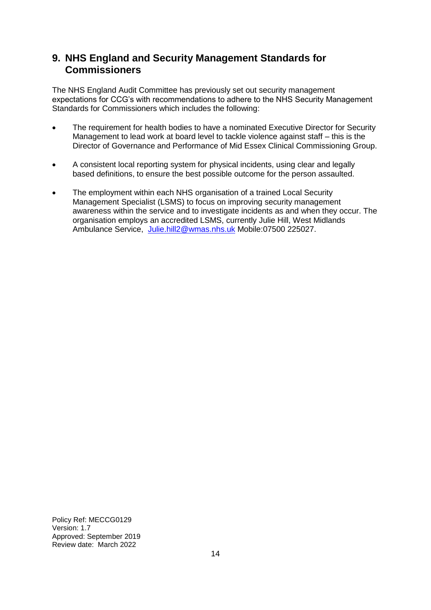## <span id="page-13-0"></span>**9. NHS England and Security Management Standards for Commissioners**

The NHS England Audit Committee has previously set out security management expectations for CCG's with recommendations to adhere to the NHS Security Management Standards for Commissioners which includes the following:

- The requirement for health bodies to have a nominated Executive Director for Security Management to lead work at board level to tackle violence against staff – this is the Director of Governance and Performance of Mid Essex Clinical Commissioning Group.
- A consistent local reporting system for physical incidents, using clear and legally based definitions, to ensure the best possible outcome for the person assaulted.
- The employment within each NHS organisation of a trained Local Security Management Specialist (LSMS) to focus on improving security management awareness within the service and to investigate incidents as and when they occur. The organisation employs an accredited LSMS, currently Julie Hill, West Midlands Ambulance Service, [Julie.hill2@wmas.nhs.uk](mailto:Julie.hill2@wmas.nhs.uk) Mobile:07500 225027.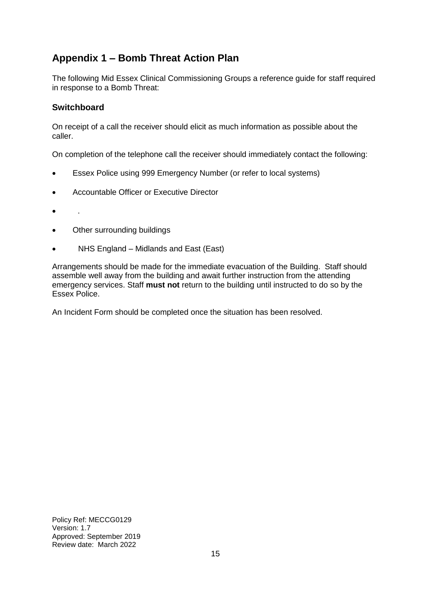## <span id="page-14-0"></span>**Appendix 1 – Bomb Threat Action Plan**

The following Mid Essex Clinical Commissioning Groups a reference guide for staff required in response to a Bomb Threat:

#### **Switchboard**

On receipt of a call the receiver should elicit as much information as possible about the caller.

On completion of the telephone call the receiver should immediately contact the following:

- Essex Police using 999 Emergency Number (or refer to local systems)
- Accountable Officer or Executive Director
- .
- Other surrounding buildings
- NHS England Midlands and East (East)

Arrangements should be made for the immediate evacuation of the Building. Staff should assemble well away from the building and await further instruction from the attending emergency services. Staff **must not** return to the building until instructed to do so by the Essex Police.

<span id="page-14-1"></span>An Incident Form should be completed once the situation has been resolved.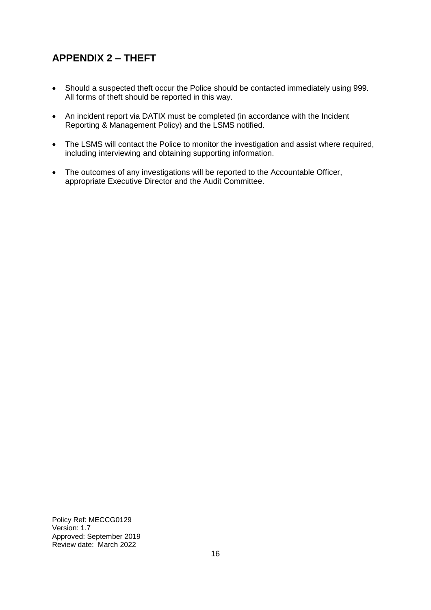## **APPENDIX 2 – THEFT**

- Should a suspected theft occur the Police should be contacted immediately using 999. All forms of theft should be reported in this way.
- An incident report via DATIX must be completed (in accordance with the Incident Reporting & Management Policy) and the LSMS notified.
- The LSMS will contact the Police to monitor the investigation and assist where required, including interviewing and obtaining supporting information.
- <span id="page-15-0"></span>• The outcomes of any investigations will be reported to the Accountable Officer, appropriate Executive Director and the Audit Committee.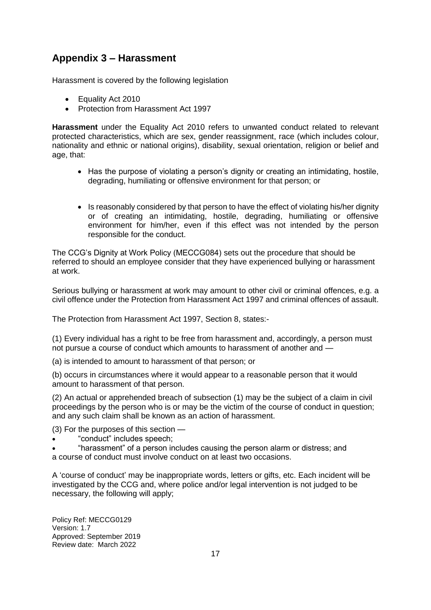## **Appendix 3 – Harassment**

Harassment is covered by the following legislation

- Equality Act 2010
- Protection from Harassment Act 1997

**Harassment** under the Equality Act 2010 refers to unwanted conduct related to relevant protected characteristics, which are sex, gender reassignment, race (which includes colour, nationality and ethnic or national origins), disability, sexual orientation, religion or belief and age, that:

- Has the purpose of violating a person's dignity or creating an intimidating, hostile, degrading, humiliating or offensive environment for that person; or
- Is reasonably considered by that person to have the effect of violating his/her dignity or of creating an intimidating, hostile, degrading, humiliating or offensive environment for him/her, even if this effect was not intended by the person responsible for the conduct.

The CCG's Dignity at Work Policy (MECCG084) sets out the procedure that should be referred to should an employee consider that they have experienced bullying or harassment at work.

Serious bullying or harassment at work may amount to other civil or criminal offences, e.g. a civil offence under the Protection from Harassment Act 1997 and criminal offences of assault.

The Protection from Harassment Act 1997, Section 8, states:-

(1) Every individual has a right to be free from harassment and, accordingly, a person must not pursue a course of conduct which amounts to harassment of another and —

(a) is intended to amount to harassment of that person; or

(b) occurs in circumstances where it would appear to a reasonable person that it would amount to harassment of that person.

(2) An actual or apprehended breach of subsection (1) may be the subject of a claim in civil proceedings by the person who is or may be the victim of the course of conduct in question; and any such claim shall be known as an action of harassment.

(3) For the purposes of this section —

• "conduct" includes speech;

• "harassment" of a person includes causing the person alarm or distress; and a course of conduct must involve conduct on at least two occasions.

A 'course of conduct' may be inappropriate words, letters or gifts, etc. Each incident will be investigated by the CCG and, where police and/or legal intervention is not judged to be necessary, the following will apply;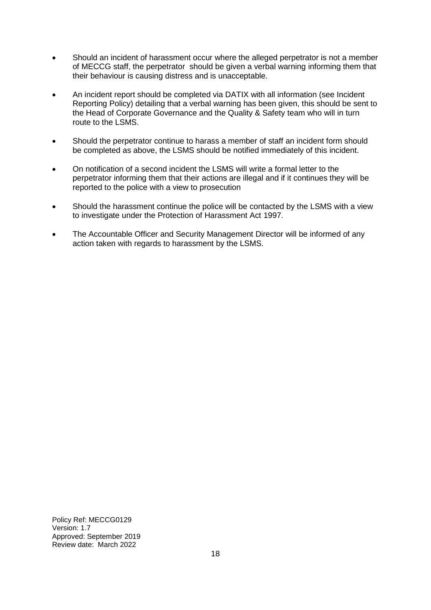- Should an incident of harassment occur where the alleged perpetrator is not a member of MECCG staff, the perpetrator should be given a verbal warning informing them that their behaviour is causing distress and is unacceptable.
- An incident report should be completed via DATIX with all information (see Incident Reporting Policy) detailing that a verbal warning has been given, this should be sent to the Head of Corporate Governance and the Quality & Safety team who will in turn route to the LSMS.
- Should the perpetrator continue to harass a member of staff an incident form should be completed as above, the LSMS should be notified immediately of this incident.
- On notification of a second incident the LSMS will write a formal letter to the perpetrator informing them that their actions are illegal and if it continues they will be reported to the police with a view to prosecution
- Should the harassment continue the police will be contacted by the LSMS with a view to investigate under the Protection of Harassment Act 1997.
- The Accountable Officer and Security Management Director will be informed of any action taken with regards to harassment by the LSMS.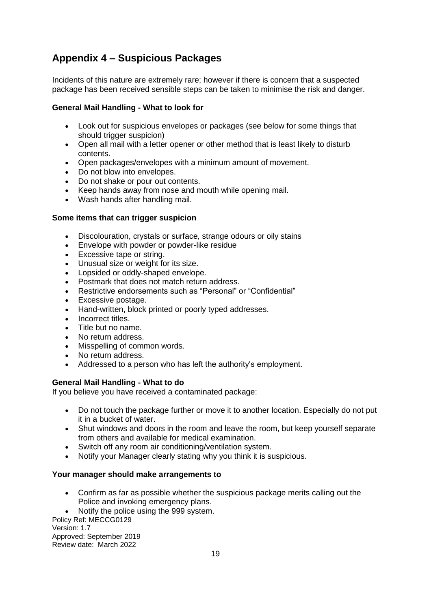## **Appendix 4 – Suspicious Packages**

Incidents of this nature are extremely rare; however if there is concern that a suspected package has been received sensible steps can be taken to minimise the risk and danger.

#### **General Mail Handling - What to look for**

- Look out for suspicious envelopes or packages (see below for some things that should trigger suspicion)
- Open all mail with a letter opener or other method that is least likely to disturb contents.
- Open packages/envelopes with a minimum amount of movement.
- Do not blow into envelopes.
- Do not shake or pour out contents.
- Keep hands away from nose and mouth while opening mail.
- Wash hands after handling mail.

#### **Some items that can trigger suspicion**

- Discolouration, crystals or surface, strange odours or oily stains
- Envelope with powder or powder-like residue
- Excessive tape or string.
- Unusual size or weight for its size.
- Lopsided or oddly-shaped envelope.
- Postmark that does not match return address.
- Restrictive endorsements such as "Personal" or "Confidential"
- Excessive postage.
- Hand-written, block printed or poorly typed addresses.
- Incorrect titles.
- Title but no name.
- No return address.
- Misspelling of common words.
- No return address.
- Addressed to a person who has left the authority's employment.

#### **General Mail Handling - What to do**

If you believe you have received a contaminated package:

- Do not touch the package further or move it to another location. Especially do not put it in a bucket of water.
- Shut windows and doors in the room and leave the room, but keep yourself separate from others and available for medical examination.
- Switch off any room air conditioning/ventilation system.
- Notify your Manager clearly stating why you think it is suspicious.

#### **Your manager should make arrangements to**

• Confirm as far as possible whether the suspicious package merits calling out the Police and invoking emergency plans.

• Notify the police using the 999 system.